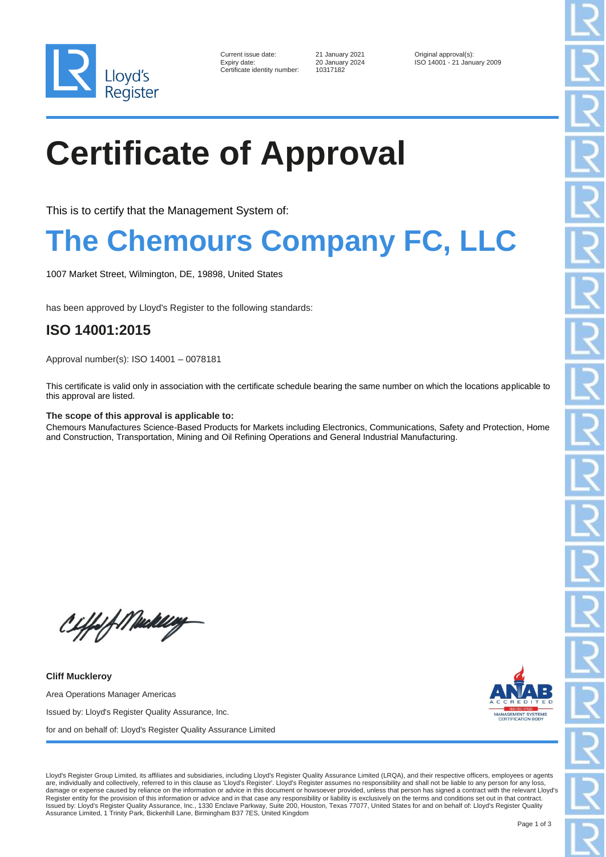

| Current issue date:        |
|----------------------------|
| Expiry date:               |
| Certificate identity numbe |

er: 10317182

21 January 2021 **Current Cover is UPS 20 January 2024 COVER 150 14001 - 21 Janu** Expiry date: 20 January 2024 ISO 14001 - 21 January 2009

# **Certificate of Approval**

This is to certify that the Management System of:

### **The Chemours Company FC, LLC**

1007 Market Street, Wilmington, DE, 19898, United States

has been approved by Lloyd's Register to the following standards:

### **ISO 14001:2015**

Approval number(s): ISO 14001 – 0078181

This certificate is valid only in association with the certificate schedule bearing the same number on which the locations applicable to this approval are listed.

#### **The scope of this approval is applicable to:**

Chemours Manufactures Science-Based Products for Markets including Electronics, Communications, Safety and Protection, Home and Construction, Transportation, Mining and Oil Refining Operations and General Industrial Manufacturing.

Ciffof Medilly

**Cliff Muckleroy** Area Operations Manager Americas Issued by: Lloyd's Register Quality Assurance, Inc. for and on behalf of: Lloyd's Register Quality Assurance Limited



Lloyd's Register Group Limited, its affiliates and subsidiaries, including Lloyd's Register Quality Assurance Limited (LRQA), and their respective officers, employees or agents are, individually and collectively, referred to in this clause as 'Lloyd's Register'. Lloyd's Register assumes no responsibility and shall not be liable to any person for any loss, damage or expense caused by reliance on the information or advice in this document or howsoever provided, unless that person has signed a contract with the relevant Lloyd's Register entity for the provision of this information or advice and in that case any responsibility or liability is exclusively on the terms and conditions set out in that contract.<br>Issued by: Lloyd's Register Quality Assu Assurance Limited, 1 Trinity Park, Bickenhill Lane, Birmingham B37 7ES, United Kingdom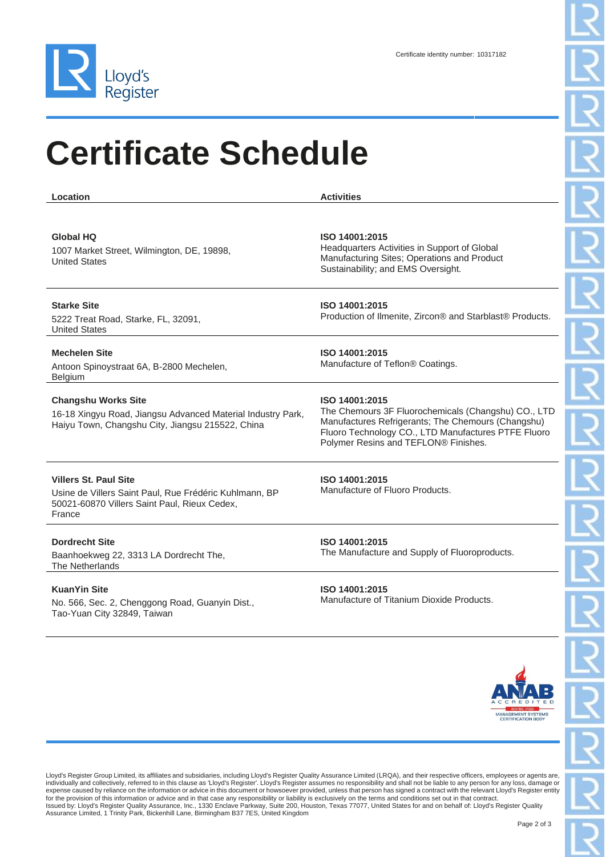

Tao-Yuan City 32849, Taiwan

# **Certificate Schedule**

**Location Activities Global HQ** 1007 Market Street, Wilmington, DE, 19898, United States **ISO 14001:2015** Headquarters Activities in Support of Global Manufacturing Sites; Operations and Product Sustainability; and EMS Oversight. **Starke Site** 5222 Treat Road, Starke, FL, 32091, United States **ISO 14001:2015** Production of Ilmenite, Zircon® and Starblast® Products. **Mechelen Site** Antoon Spinoystraat 6A, B-2800 Mechelen, Belgium **ISO 14001:2015** Manufacture of Teflon® Coatings. **Changshu Works Site** 16-18 Xingyu Road, Jiangsu Advanced Material Industry Park, Haiyu Town, Changshu City, Jiangsu 215522, China **ISO 14001:2015** The Chemours 3F Fluorochemicals (Changshu) CO., LTD Manufactures Refrigerants; The Chemours (Changshu) Fluoro Technology CO., LTD Manufactures PTFE Fluoro Polymer Resins and TEFLON® Finishes. **Villers St. Paul Site** Usine de Villers Saint Paul, Rue Frédéric Kuhlmann, BP 50021-60870 Villers Saint Paul, Rieux Cedex, France **ISO 14001:2015** Manufacture of Fluoro Products. **Dordrecht Site** Baanhoekweg 22, 3313 LA Dordrecht The, The Netherlands **ISO 14001:2015** The Manufacture and Supply of Fluoroproducts. **KuanYin Site** No. 566, Sec. 2, Chenggong Road, Guanyin Dist., **ISO 14001:2015** Manufacture of Titanium Dioxide Products.



Lloyd's Register Group Limited, its affiliates and subsidiaries, including Lloyd's Register Quality Assurance Limited (LRQA), and their respective officers, employees or agents are, individually and collectively, referred to in this clause as 'Lloyd's Register'. Lloyd's Register assumes no responsibility and shall not be liable to any person for any loss, damage or expense caused by reliance on the information or advice in this document or howsoever provided, unless that person has signed a contract with the relevant Lloyd's Register entity for the provision of this information or advice and in that case any responsibility or liability is exclusively on the terms and conditions set out in that contract.<br>Issued by: Lloyd's Register Quality Assurance, Inc., 133 Assurance Limited, 1 Trinity Park, Bickenhill Lane, Birmingham B37 7ES, United Kingdom